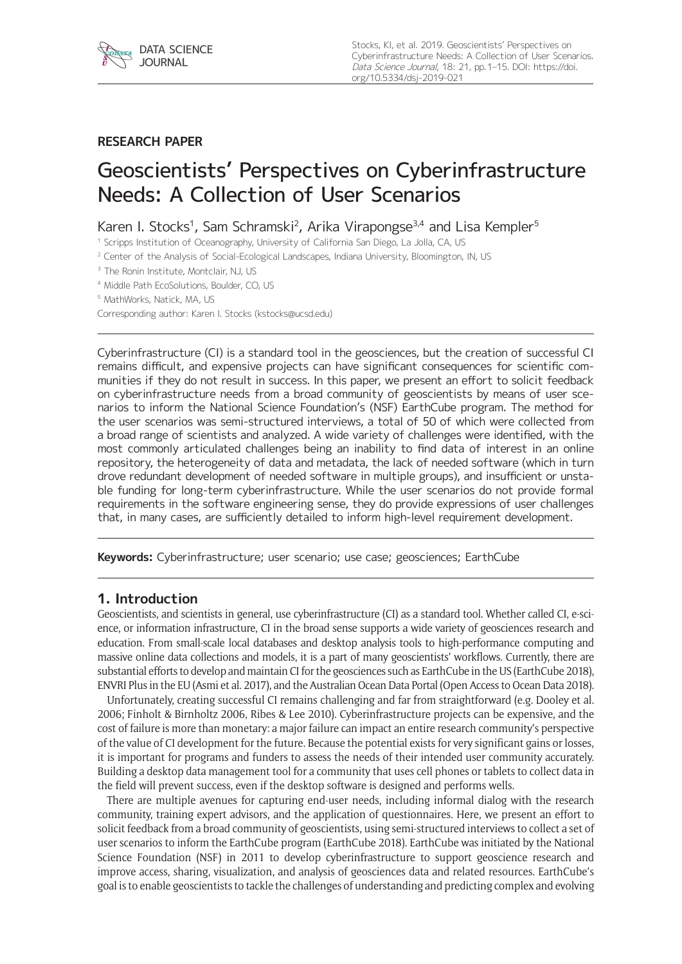

# **RESEARCH PAPER**

# Geoscientists' Perspectives on Cyberinfrastructure Needs: A Collection of User Scenarios

Karen I. Stocks<sup>1</sup>, Sam Schramski<sup>2</sup>, Arika Virapongse<sup>3,4</sup> and Lisa Kempler<sup>5</sup>

<sup>1</sup> Scripps Institution of Oceanography, University of California San Diego, La Jolla, CA, US

<sup>2</sup> Center of the Analysis of Social-Ecological Landscapes, Indiana University, Bloomington, IN, US

<sup>3</sup> The Ronin Institute, Montclair, NJ, US

<sup>4</sup> Middle Path EcoSolutions, Boulder, CO, US

<sup>5</sup> MathWorks, Natick, MA, US

Corresponding author: Karen I. Stocks [\(kstocks@ucsd.edu\)](mailto:kstocks@ucsd.edu)

Cyberinfrastructure (CI) is a standard tool in the geosciences, but the creation of successful CI remains difficult, and expensive projects can have significant consequences for scientific communities if they do not result in success. In this paper, we present an effort to solicit feedback on cyberinfrastructure needs from a broad community of geoscientists by means of user scenarios to inform the National Science Foundation's (NSF) EarthCube program. The method for the user scenarios was semi-structured interviews, a total of 50 of which were collected from a broad range of scientists and analyzed. A wide variety of challenges were identified, with the most commonly articulated challenges being an inability to find data of interest in an online repository, the heterogeneity of data and metadata, the lack of needed software (which in turn drove redundant development of needed software in multiple groups), and insufficient or unstable funding for long-term cyberinfrastructure. While the user scenarios do not provide formal requirements in the software engineering sense, they do provide expressions of user challenges that, in many cases, are sufficiently detailed to inform high-level requirement development.

**Keywords:** Cyberinfrastructure; user scenario; use case; geosciences; EarthCube

# **1. Introduction**

Geoscientists, and scientists in general, use cyberinfrastructure (CI) as a standard tool. Whether called CI, e-science, or information infrastructure, CI in the broad sense supports a wide variety of geosciences research and education. From small-scale local databases and desktop analysis tools to high-performance computing and massive online data collections and models, it is a part of many geoscientists' workflows. Currently, there are substantial efforts to develop and maintain CI for the geosciences such as EarthCube in the US (EarthCube 2018), ENVRI Plus in the EU (Asmi et al. 2017), and the Australian Ocean Data Portal (Open Access to Ocean Data 2018).

Unfortunately, creating successful CI remains challenging and far from straightforward (e.g. Dooley et al. 2006; Finholt & Birnholtz 2006, Ribes & Lee 2010). Cyberinfrastructure projects can be expensive, and the cost of failure is more than monetary: a major failure can impact an entire research community's perspective of the value of CI development for the future. Because the potential exists for very significant gains or losses, it is important for programs and funders to assess the needs of their intended user community accurately. Building a desktop data management tool for a community that uses cell phones or tablets to collect data in the field will prevent success, even if the desktop software is designed and performs wells.

There are multiple avenues for capturing end-user needs, including informal dialog with the research community, training expert advisors, and the application of questionnaires. Here, we present an effort to solicit feedback from a broad community of geoscientists, using semi-structured interviews to collect a set of user scenarios to inform the EarthCube program (EarthCube 2018). EarthCube was initiated by the National Science Foundation (NSF) in 2011 to develop cyberinfrastructure to support geoscience research and improve access, sharing, visualization, and analysis of geosciences data and related resources. EarthCube's goal is to enable geoscientists to tackle the challenges of understanding and predicting complex and evolving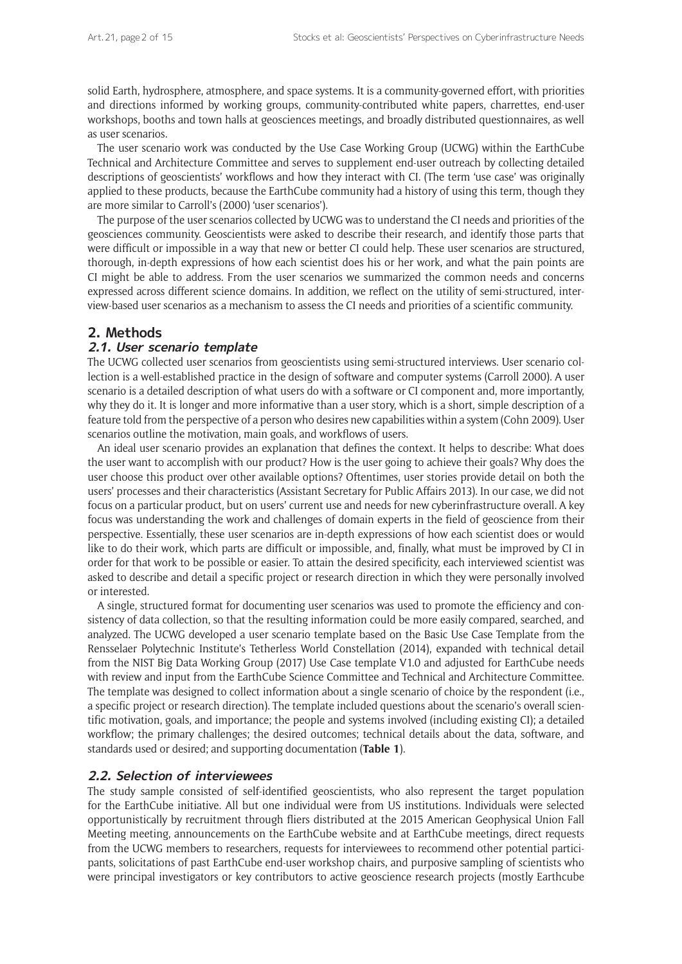solid Earth, hydrosphere, atmosphere, and space systems. It is a community-governed effort, with priorities and directions informed by working groups, community-contributed white papers, charrettes, end-user workshops, booths and town halls at geosciences meetings, and broadly distributed questionnaires, as well as user scenarios.

The user scenario work was conducted by the Use Case Working Group (UCWG) within the EarthCube Technical and Architecture Committee and serves to supplement end-user outreach by collecting detailed descriptions of geoscientists' workflows and how they interact with CI. (The term 'use case' was originally applied to these products, because the EarthCube community had a history of using this term, though they are more similar to Carroll's (2000) 'user scenarios').

The purpose of the user scenarios collected by UCWG was to understand the CI needs and priorities of the geosciences community. Geoscientists were asked to describe their research, and identify those parts that were difficult or impossible in a way that new or better CI could help. These user scenarios are structured, thorough, in-depth expressions of how each scientist does his or her work, and what the pain points are CI might be able to address. From the user scenarios we summarized the common needs and concerns expressed across different science domains. In addition, we reflect on the utility of semi-structured, interview-based user scenarios as a mechanism to assess the CI needs and priorities of a scientific community.

# **2. Methods**

# **2.1. User scenario template**

The UCWG collected user scenarios from geoscientists using semi-structured interviews. User scenario collection is a well-established practice in the design of software and computer systems (Carroll 2000). A user scenario is a detailed description of what users do with a software or CI component and, more importantly, why they do it. It is longer and more informative than a user story, which is a short, simple description of a feature told from the perspective of a person who desires new capabilities within a system (Cohn 2009). User scenarios outline the motivation, main goals, and workflows of users.

An ideal user scenario provides an explanation that defines the context. It helps to describe: What does the user want to accomplish with our product? How is the user going to achieve their goals? Why does the user choose this product over other available options? Oftentimes, user stories provide detail on both the users' processes and their characteristics (Assistant Secretary for Public Affairs 2013). In our case, we did not focus on a particular product, but on users' current use and needs for new cyberinfrastructure overall. A key focus was understanding the work and challenges of domain experts in the field of geoscience from their perspective. Essentially, these user scenarios are in-depth expressions of how each scientist does or would like to do their work, which parts are difficult or impossible, and, finally, what must be improved by CI in order for that work to be possible or easier. To attain the desired specificity, each interviewed scientist was asked to describe and detail a specific project or research direction in which they were personally involved or interested.

A single, structured format for documenting user scenarios was used to promote the efficiency and consistency of data collection, so that the resulting information could be more easily compared, searched, and analyzed. The UCWG developed a user scenario template based on the Basic Use Case Template from the Rensselaer Polytechnic Institute's Tetherless World Constellation (2014), expanded with technical detail from the NIST Big Data Working Group (2017) Use Case template V1.0 and adjusted for EarthCube needs with review and input from the EarthCube Science Committee and Technical and Architecture Committee. The template was designed to collect information about a single scenario of choice by the respondent (i.e., a specific project or research direction). The template included questions about the scenario's overall scientific motivation, goals, and importance; the people and systems involved (including existing CI); a detailed workflow; the primary challenges; the desired outcomes; technical details about the data, software, and standards used or desired; and supporting documentation (**Table 1**).

# **2.2. Selection of interviewees**

The study sample consisted of self-identified geoscientists, who also represent the target population for the EarthCube initiative. All but one individual were from US institutions. Individuals were selected opportunistically by recruitment through fliers distributed at the 2015 American Geophysical Union Fall Meeting meeting, announcements on the EarthCube website and at EarthCube meetings, direct requests from the UCWG members to researchers, requests for interviewees to recommend other potential participants, solicitations of past EarthCube end-user workshop chairs, and purposive sampling of scientists who were principal investigators or key contributors to active geoscience research projects (mostly Earthcube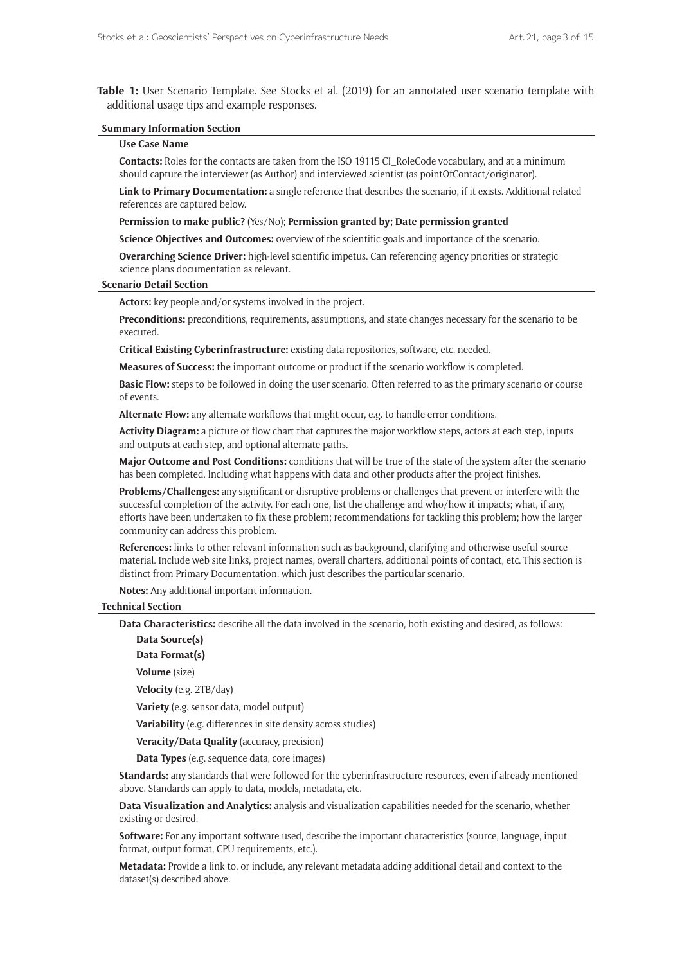**Table 1:** User Scenario Template. See Stocks et al. (2019) for an annotated user scenario template with additional usage tips and example responses.

#### **Summary Information Section**

#### **Use Case Name**

**Contacts:** Roles for the contacts are taken from the ISO 19115 CI\_RoleCode vocabulary, and at a minimum should capture the interviewer (as Author) and interviewed scientist (as pointOfContact/originator).

**Link to Primary Documentation:** a single reference that describes the scenario, if it exists. Additional related references are captured below.

**Permission to make public?** (Yes/No); **Permission granted by; Date permission granted**

**Science Objectives and Outcomes:** overview of the scientific goals and importance of the scenario.

**Overarching Science Driver:** high-level scientific impetus. Can referencing agency priorities or strategic science plans documentation as relevant.

#### **Scenario Detail Section**

**Actors:** key people and/or systems involved in the project.

**Preconditions:** preconditions, requirements, assumptions, and state changes necessary for the scenario to be executed.

**Critical Existing Cyberinfrastructure:** existing data repositories, software, etc. needed.

**Measures of Success:** the important outcome or product if the scenario workflow is completed.

**Basic Flow:** steps to be followed in doing the user scenario. Often referred to as the primary scenario or course of events.

**Alternate Flow:** any alternate workflows that might occur, e.g. to handle error conditions.

**Activity Diagram:** a picture or flow chart that captures the major workflow steps, actors at each step, inputs and outputs at each step, and optional alternate paths.

**Major Outcome and Post Conditions:** conditions that will be true of the state of the system after the scenario has been completed. Including what happens with data and other products after the project finishes.

**Problems/Challenges:** any significant or disruptive problems or challenges that prevent or interfere with the successful completion of the activity. For each one, list the challenge and who/how it impacts; what, if any, efforts have been undertaken to fix these problem; recommendations for tackling this problem; how the larger community can address this problem.

**References:** links to other relevant information such as background, clarifying and otherwise useful source material. Include web site links, project names, overall charters, additional points of contact, etc. This section is distinct from Primary Documentation, which just describes the particular scenario.

**Notes:** Any additional important information.

#### **Technical Section**

**Data Characteristics:** describe all the data involved in the scenario, both existing and desired, as follows:

**Data Source(s)**

**Data Format(s)**

**Volume** (size)

**Velocity** (e.g. 2TB/day)

**Variety** (e.g. sensor data, model output)

**Variability** (e.g. differences in site density across studies)

**Veracity/Data Quality** (accuracy, precision)

**Data Types** (e.g. sequence data, core images)

**Standards:** any standards that were followed for the cyberinfrastructure resources, even if already mentioned above. Standards can apply to data, models, metadata, etc.

**Data Visualization and Analytics:** analysis and visualization capabilities needed for the scenario, whether existing or desired.

**Software:** For any important software used, describe the important characteristics (source, language, input format, output format, CPU requirements, etc.).

**Metadata:** Provide a link to, or include, any relevant metadata adding additional detail and context to the dataset(s) described above.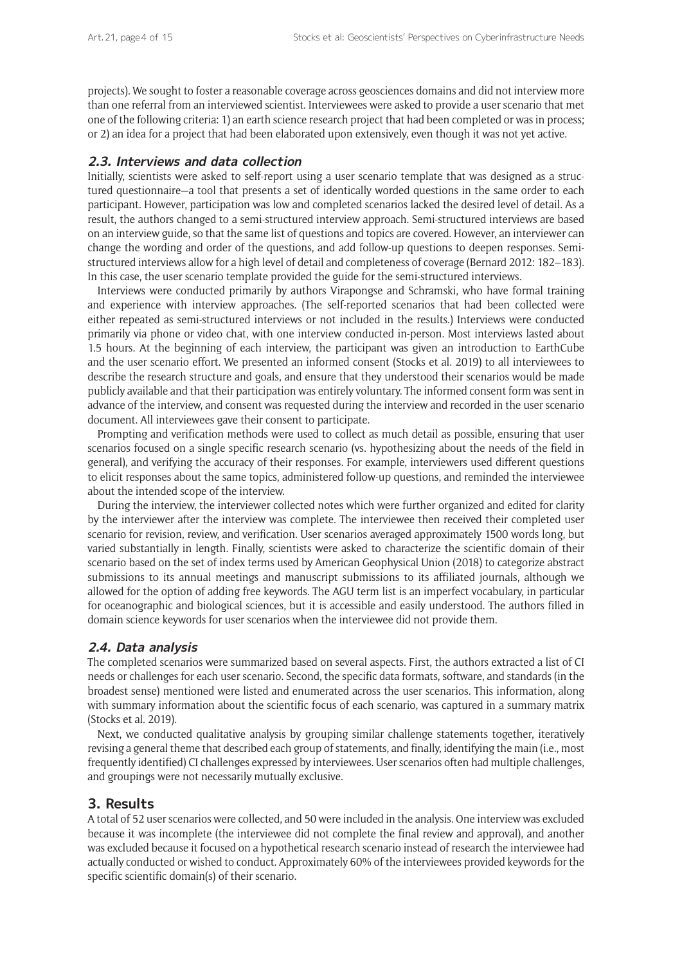projects). We sought to foster a reasonable coverage across geosciences domains and did not interview more than one referral from an interviewed scientist. Interviewees were asked to provide a user scenario that met one of the following criteria: 1) an earth science research project that had been completed or was in process; or 2) an idea for a project that had been elaborated upon extensively, even though it was not yet active.

# **2.3. Interviews and data collection**

Initially, scientists were asked to self-report using a user scenario template that was designed as a structured questionnaire—a tool that presents a set of identically worded questions in the same order to each participant. However, participation was low and completed scenarios lacked the desired level of detail. As a result, the authors changed to a semi-structured interview approach. Semi-structured interviews are based on an interview guide, so that the same list of questions and topics are covered. However, an interviewer can change the wording and order of the questions, and add follow-up questions to deepen responses. Semistructured interviews allow for a high level of detail and completeness of coverage (Bernard 2012: 182–183). In this case, the user scenario template provided the guide for the semi-structured interviews.

Interviews were conducted primarily by authors Virapongse and Schramski, who have formal training and experience with interview approaches. (The self-reported scenarios that had been collected were either repeated as semi-structured interviews or not included in the results.) Interviews were conducted primarily via phone or video chat, with one interview conducted in-person. Most interviews lasted about 1.5 hours. At the beginning of each interview, the participant was given an introduction to EarthCube and the user scenario effort. We presented an informed consent (Stocks et al. 2019) to all interviewees to describe the research structure and goals, and ensure that they understood their scenarios would be made publicly available and that their participation was entirely voluntary. The informed consent form was sent in advance of the interview, and consent was requested during the interview and recorded in the user scenario document. All interviewees gave their consent to participate.

Prompting and verification methods were used to collect as much detail as possible, ensuring that user scenarios focused on a single specific research scenario (vs. hypothesizing about the needs of the field in general), and verifying the accuracy of their responses. For example, interviewers used different questions to elicit responses about the same topics, administered follow-up questions, and reminded the interviewee about the intended scope of the interview.

During the interview, the interviewer collected notes which were further organized and edited for clarity by the interviewer after the interview was complete. The interviewee then received their completed user scenario for revision, review, and verification. User scenarios averaged approximately 1500 words long, but varied substantially in length. Finally, scientists were asked to characterize the scientific domain of their scenario based on the set of index terms used by American Geophysical Union (2018) to categorize abstract submissions to its annual meetings and manuscript submissions to its affiliated journals, although we allowed for the option of adding free keywords. The AGU term list is an imperfect vocabulary, in particular for oceanographic and biological sciences, but it is accessible and easily understood. The authors filled in domain science keywords for user scenarios when the interviewee did not provide them.

# **2.4. Data analysis**

The completed scenarios were summarized based on several aspects. First, the authors extracted a list of CI needs or challenges for each user scenario. Second, the specific data formats, software, and standards (in the broadest sense) mentioned were listed and enumerated across the user scenarios. This information, along with summary information about the scientific focus of each scenario, was captured in a summary matrix (Stocks et al. 2019).

Next, we conducted qualitative analysis by grouping similar challenge statements together, iteratively revising a general theme that described each group of statements, and finally, identifying the main (i.e., most frequently identified) CI challenges expressed by interviewees. User scenarios often had multiple challenges, and groupings were not necessarily mutually exclusive.

# **3. Results**

A total of 52 user scenarios were collected, and 50 were included in the analysis. One interview was excluded because it was incomplete (the interviewee did not complete the final review and approval), and another was excluded because it focused on a hypothetical research scenario instead of research the interviewee had actually conducted or wished to conduct. Approximately 60% of the interviewees provided keywords for the specific scientific domain(s) of their scenario.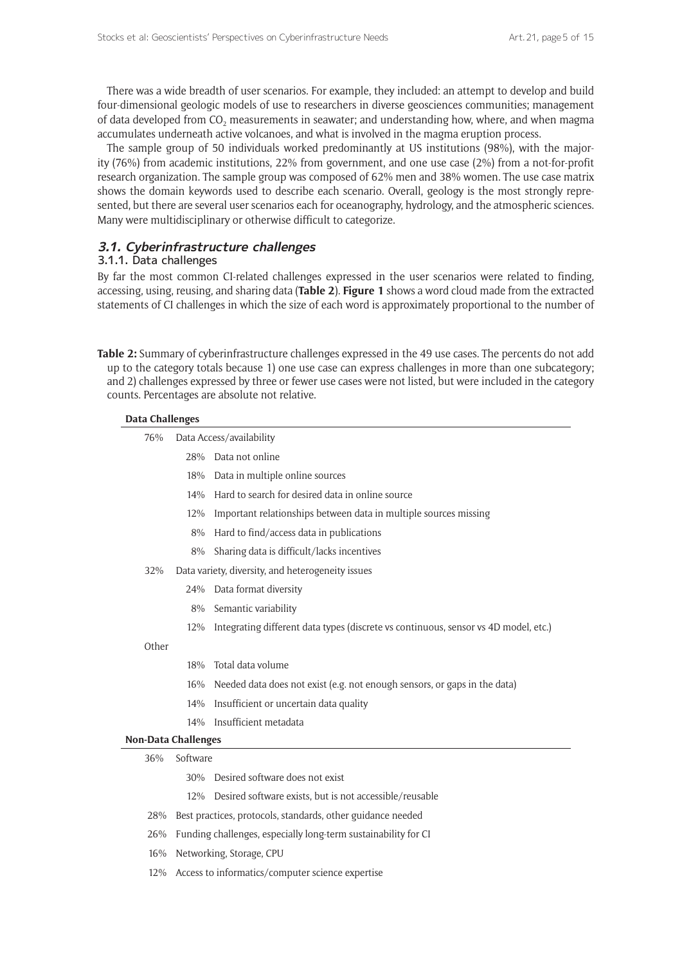There was a wide breadth of user scenarios. For example, they included: an attempt to develop and build four-dimensional geologic models of use to researchers in diverse geosciences communities; management of data developed from CO<sub>2</sub> measurements in seawater; and understanding how, where, and when magma accumulates underneath active volcanoes, and what is involved in the magma eruption process.

The sample group of 50 individuals worked predominantly at US institutions (98%), with the majority (76%) from academic institutions, 22% from government, and one use case (2%) from a not-for-profit research organization. The sample group was composed of 62% men and 38% women. The use case matrix shows the domain keywords used to describe each scenario. Overall, geology is the most strongly represented, but there are several user scenarios each for oceanography, hydrology, and the atmospheric sciences. Many were multidisciplinary or otherwise difficult to categorize.

## **3.1. Cyberinfrastructure challenges**

# 3.1.1. Data challenges

By far the most common CI-related challenges expressed in the user scenarios were related to finding, accessing, using, reusing, and sharing data (**Table 2**). **Figure 1** shows a word cloud made from the extracted statements of CI challenges in which the size of each word is approximately proportional to the number of

**Table 2:** Summary of cyberinfrastructure challenges expressed in the 49 use cases. The percents do not add up to the category totals because 1) one use case can express challenges in more than one subcategory; and 2) challenges expressed by three or fewer use cases were not listed, but were included in the category counts. Percentages are absolute not relative.

## **Data Challenges**

| 76%                        |                                                                | Data Access/availability                                                            |  |  |  |
|----------------------------|----------------------------------------------------------------|-------------------------------------------------------------------------------------|--|--|--|
|                            | 28%                                                            | Data not online                                                                     |  |  |  |
|                            | 18%                                                            | Data in multiple online sources                                                     |  |  |  |
|                            | 14%                                                            | Hard to search for desired data in online source                                    |  |  |  |
|                            | 12%                                                            | Important relationships between data in multiple sources missing                    |  |  |  |
|                            | 8%                                                             | Hard to find/access data in publications                                            |  |  |  |
|                            | 8%                                                             | Sharing data is difficult/lacks incentives                                          |  |  |  |
| 32%                        |                                                                | Data variety, diversity, and heterogeneity issues                                   |  |  |  |
|                            | 24%                                                            | Data format diversity                                                               |  |  |  |
|                            | 8%                                                             | Semantic variability                                                                |  |  |  |
|                            | 12%                                                            | Integrating different data types (discrete vs continuous, sensor vs 4D model, etc.) |  |  |  |
| Other                      |                                                                |                                                                                     |  |  |  |
|                            | 18%                                                            | Total data volume                                                                   |  |  |  |
|                            | 16%                                                            | Needed data does not exist (e.g. not enough sensors, or gaps in the data)           |  |  |  |
|                            | 14%                                                            | Insufficient or uncertain data quality                                              |  |  |  |
|                            | 14%                                                            | Insufficient metadata                                                               |  |  |  |
| <b>Non-Data Challenges</b> |                                                                |                                                                                     |  |  |  |
| 36%                        | Software                                                       |                                                                                     |  |  |  |
|                            | 30%                                                            | Desired software does not exist                                                     |  |  |  |
|                            | 12%                                                            | Desired software exists, but is not accessible/reusable                             |  |  |  |
| 28%                        |                                                                | Best practices, protocols, standards, other guidance needed                         |  |  |  |
| 26%                        | Funding challenges, especially long-term sustainability for CI |                                                                                     |  |  |  |
| 16%                        | Networking, Storage, CPU                                       |                                                                                     |  |  |  |
| 12%                        | Access to informatics/computer science expertise               |                                                                                     |  |  |  |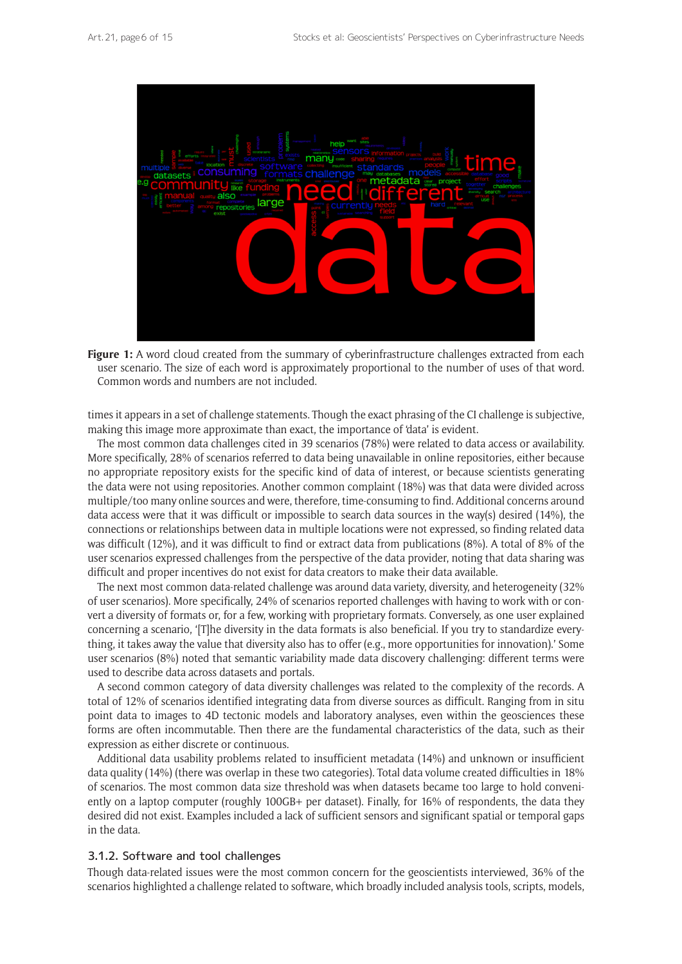

**Figure 1:** A word cloud created from the summary of cyberinfrastructure challenges extracted from each user scenario. The size of each word is approximately proportional to the number of uses of that word. Common words and numbers are not included.

times it appears in a set of challenge statements. Though the exact phrasing of the CI challenge is subjective, making this image more approximate than exact, the importance of 'data' is evident.

The most common data challenges cited in 39 scenarios (78%) were related to data access or availability. More specifically, 28% of scenarios referred to data being unavailable in online repositories, either because no appropriate repository exists for the specific kind of data of interest, or because scientists generating the data were not using repositories. Another common complaint (18%) was that data were divided across multiple/too many online sources and were, therefore, time-consuming to find. Additional concerns around data access were that it was difficult or impossible to search data sources in the way(s) desired (14%), the connections or relationships between data in multiple locations were not expressed, so finding related data was difficult (12%), and it was difficult to find or extract data from publications (8%). A total of 8% of the user scenarios expressed challenges from the perspective of the data provider, noting that data sharing was difficult and proper incentives do not exist for data creators to make their data available.

The next most common data-related challenge was around data variety, diversity, and heterogeneity (32% of user scenarios). More specifically, 24% of scenarios reported challenges with having to work with or convert a diversity of formats or, for a few, working with proprietary formats. Conversely, as one user explained concerning a scenario, '[T]he diversity in the data formats is also beneficial. If you try to standardize everything, it takes away the value that diversity also has to offer (e.g., more opportunities for innovation).' Some user scenarios (8%) noted that semantic variability made data discovery challenging: different terms were used to describe data across datasets and portals.

A second common category of data diversity challenges was related to the complexity of the records. A total of 12% of scenarios identified integrating data from diverse sources as difficult. Ranging from in situ point data to images to 4D tectonic models and laboratory analyses, even within the geosciences these forms are often incommutable. Then there are the fundamental characteristics of the data, such as their expression as either discrete or continuous.

Additional data usability problems related to insufficient metadata (14%) and unknown or insufficient data quality (14%) (there was overlap in these two categories). Total data volume created difficulties in 18% of scenarios. The most common data size threshold was when datasets became too large to hold conveniently on a laptop computer (roughly 100GB+ per dataset). Finally, for 16% of respondents, the data they desired did not exist. Examples included a lack of sufficient sensors and significant spatial or temporal gaps in the data.

#### 3.1.2. Software and tool challenges

Though data-related issues were the most common concern for the geoscientists interviewed, 36% of the scenarios highlighted a challenge related to software, which broadly included analysis tools, scripts, models,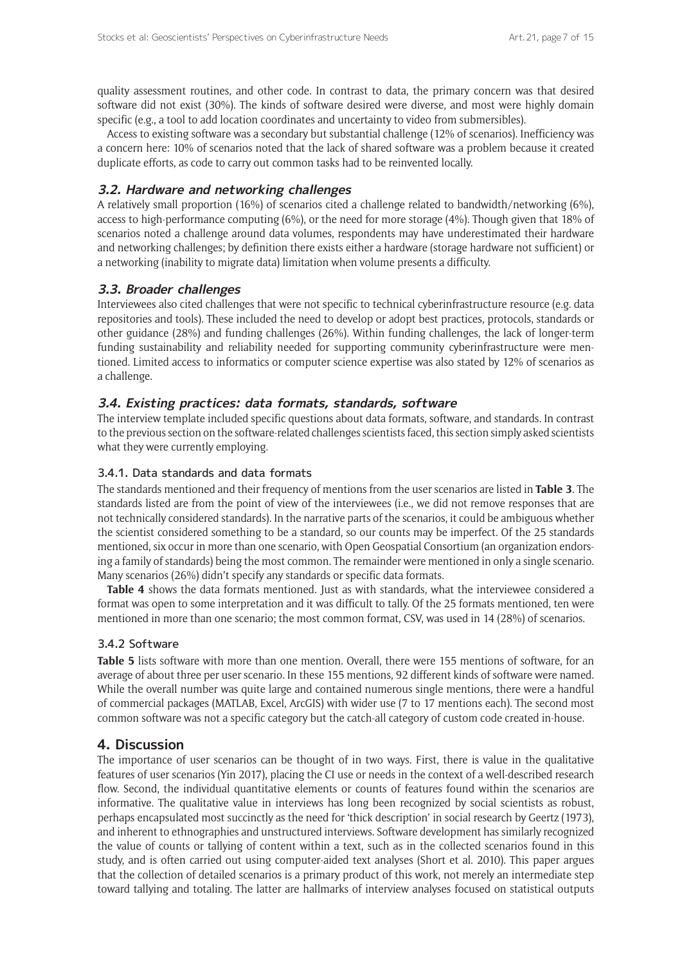quality assessment routines, and other code. In contrast to data, the primary concern was that desired software did not exist (30%). The kinds of software desired were diverse, and most were highly domain specific (e.g., a tool to add location coordinates and uncertainty to video from submersibles).

Access to existing software was a secondary but substantial challenge (12% of scenarios). Inefficiency was a concern here: 10% of scenarios noted that the lack of shared software was a problem because it created duplicate efforts, as code to carry out common tasks had to be reinvented locally.

# **3.2. Hardware and networking challenges**

A relatively small proportion (16%) of scenarios cited a challenge related to bandwidth/networking (6%), access to high-performance computing (6%), or the need for more storage (4%). Though given that 18% of scenarios noted a challenge around data volumes, respondents may have underestimated their hardware and networking challenges; by definition there exists either a hardware (storage hardware not sufficient) or a networking (inability to migrate data) limitation when volume presents a difficulty.

# **3.3. Broader challenges**

Interviewees also cited challenges that were not specific to technical cyberinfrastructure resource (e.g. data repositories and tools). These included the need to develop or adopt best practices, protocols, standards or other guidance (28%) and funding challenges (26%). Within funding challenges, the lack of longer-term funding sustainability and reliability needed for supporting community cyberinfrastructure were mentioned. Limited access to informatics or computer science expertise was also stated by 12% of scenarios as a challenge.

# **3.4. Existing practices: data formats, standards, software**

The interview template included specific questions about data formats, software, and standards. In contrast to the previous section on the software-related challenges scientists faced, this section simply asked scientists what they were currently employing.

## 3.4.1. Data standards and data formats

The standards mentioned and their frequency of mentions from the user scenarios are listed in **Table 3**. The standards listed are from the point of view of the interviewees (i.e., we did not remove responses that are not technically considered standards). In the narrative parts of the scenarios, it could be ambiguous whether the scientist considered something to be a standard, so our counts may be imperfect. Of the 25 standards mentioned, six occur in more than one scenario, with Open Geospatial Consortium (an organization endorsing a family of standards) being the most common. The remainder were mentioned in only a single scenario. Many scenarios (26%) didn't specify any standards or specific data formats.

**Table 4** shows the data formats mentioned. Just as with standards, what the interviewee considered a format was open to some interpretation and it was difficult to tally. Of the 25 formats mentioned, ten were mentioned in more than one scenario; the most common format, CSV, was used in 14 (28%) of scenarios.

# 3.4.2 Software

**Table 5** lists software with more than one mention. Overall, there were 155 mentions of software, for an average of about three per user scenario. In these 155 mentions, 92 different kinds of software were named. While the overall number was quite large and contained numerous single mentions, there were a handful of commercial packages (MATLAB, Excel, ArcGIS) with wider use (7 to 17 mentions each). The second most common software was not a specific category but the catch-all category of custom code created in-house.

# **4. Discussion**

The importance of user scenarios can be thought of in two ways. First, there is value in the qualitative features of user scenarios (Yin 2017), placing the CI use or needs in the context of a well-described research flow. Second, the individual quantitative elements or counts of features found within the scenarios are informative. The qualitative value in interviews has long been recognized by social scientists as robust, perhaps encapsulated most succinctly as the need for 'thick description' in social research by Geertz (1973), and inherent to ethnographies and unstructured interviews. Software development has similarly recognized the value of counts or tallying of content within a text, such as in the collected scenarios found in this study, and is often carried out using computer-aided text analyses (Short et al. 2010). This paper argues that the collection of detailed scenarios is a primary product of this work, not merely an intermediate step toward tallying and totaling. The latter are hallmarks of interview analyses focused on statistical outputs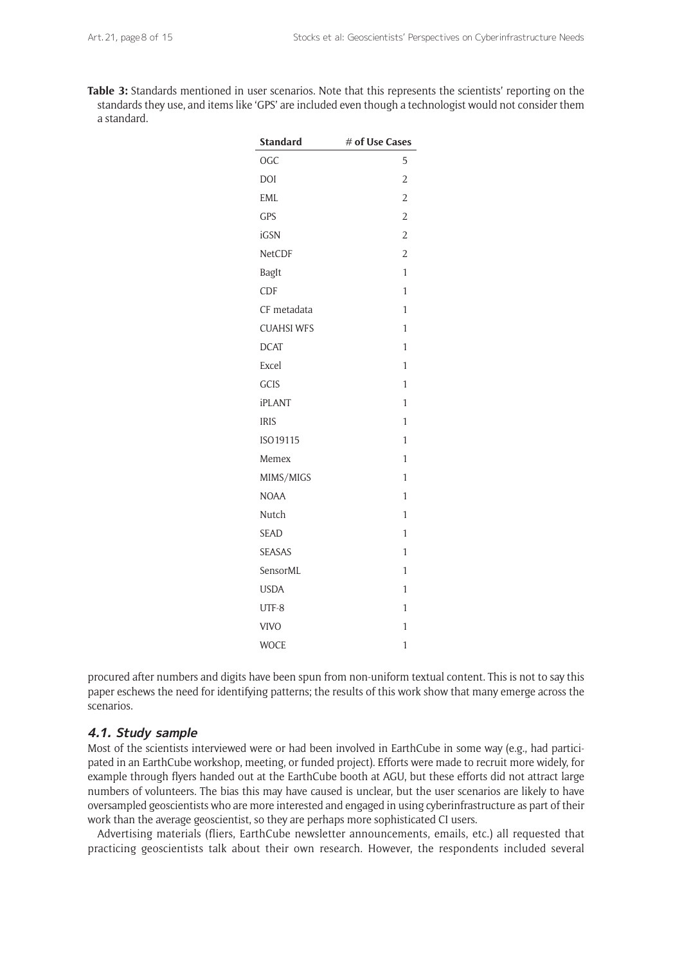**Table 3:** Standards mentioned in user scenarios. Note that this represents the scientists' reporting on the standards they use, and items like 'GPS' are included even though a technologist would not consider them a standard.

| <b>Standard</b>   | # of Use Cases |
|-------------------|----------------|
| <b>OGC</b>        | 5              |
| DOI               | $\overline{c}$ |
| EML               | $\overline{2}$ |
| GPS               | $\overline{2}$ |
| iGSN              | $\overline{2}$ |
| <b>NetCDF</b>     | $\overline{2}$ |
| BagIt             | 1              |
| CDF               | 1              |
| CF metadata       | 1              |
| <b>CUAHSI WFS</b> | $\mathbf{1}$   |
| <b>DCAT</b>       | 1              |
| Excel             | 1              |
| GCIS              | $\mathbf{1}$   |
| iPLANT            | 1              |
| <b>IRIS</b>       | 1              |
| ISO19115          | 1              |
| Memex             | 1              |
| MIMS/MIGS         | 1              |
| <b>NOAA</b>       | 1              |
| Nutch             | 1              |
| SEAD              | 1              |
| <b>SEASAS</b>     | 1              |
| SensorML          | 1              |
| <b>USDA</b>       | 1              |
| UTF-8             | 1              |
| <b>VIVO</b>       | 1              |
| <b>WOCE</b>       | 1              |

procured after numbers and digits have been spun from non-uniform textual content. This is not to say this paper eschews the need for identifying patterns; the results of this work show that many emerge across the scenarios.

## **4.1. Study sample**

Most of the scientists interviewed were or had been involved in EarthCube in some way (e.g., had participated in an EarthCube workshop, meeting, or funded project). Efforts were made to recruit more widely, for example through flyers handed out at the EarthCube booth at AGU, but these efforts did not attract large numbers of volunteers. The bias this may have caused is unclear, but the user scenarios are likely to have oversampled geoscientists who are more interested and engaged in using cyberinfrastructure as part of their work than the average geoscientist, so they are perhaps more sophisticated CI users.

Advertising materials (fliers, EarthCube newsletter announcements, emails, etc.) all requested that practicing geoscientists talk about their own research. However, the respondents included several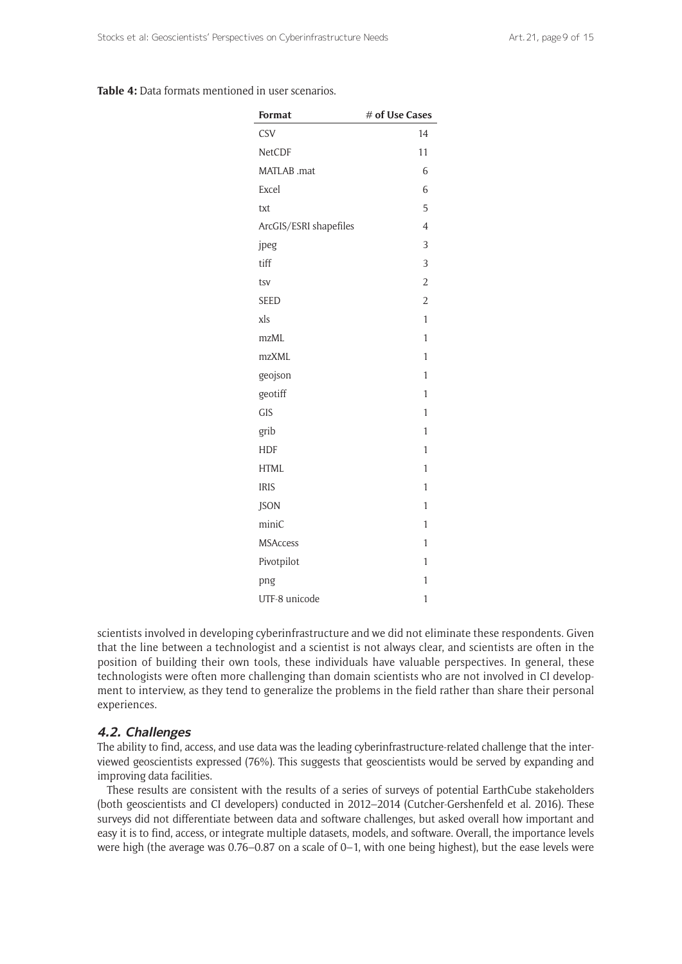|  |  | <b>Table 4:</b> Data formats mentioned in user scenarios. |  |  |
|--|--|-----------------------------------------------------------|--|--|
|  |  |                                                           |  |  |

| <b>Format</b>          | # of Use Cases |
|------------------------|----------------|
| <b>CSV</b>             | 14             |
| NetCDF                 | 11             |
| MATLAB .mat            | 6              |
| Excel                  | 6              |
| txt                    | 5              |
| ArcGIS/ESRI shapefiles | $\overline{4}$ |
| jpeg                   | 3              |
| tiff                   | 3              |
| tsv                    | $\overline{2}$ |
| <b>SEED</b>            | $\overline{2}$ |
| xls                    | $\mathbf{1}$   |
| mzML                   | $\mathbf{1}$   |
| mzXML                  | 1              |
| geojson                | 1              |
| geotiff                | $\mathbf{1}$   |
| <b>GIS</b>             | $\mathbf{1}$   |
| grib                   | 1              |
| <b>HDF</b>             | 1              |
| <b>HTML</b>            | $\mathbf{1}$   |
| <b>IRIS</b>            | $\mathbf{1}$   |
| <b>JSON</b>            | 1              |
| miniC                  | 1              |
| <b>MSAccess</b>        | 1              |
| Pivotpilot             | 1              |
| png                    | 1              |
| UTF-8 unicode          | $\mathbf{1}$   |

scientists involved in developing cyberinfrastructure and we did not eliminate these respondents. Given that the line between a technologist and a scientist is not always clear, and scientists are often in the position of building their own tools, these individuals have valuable perspectives. In general, these technologists were often more challenging than domain scientists who are not involved in CI development to interview, as they tend to generalize the problems in the field rather than share their personal experiences.

# **4.2. Challenges**

The ability to find, access, and use data was the leading cyberinfrastructure-related challenge that the interviewed geoscientists expressed (76%). This suggests that geoscientists would be served by expanding and improving data facilities.

These results are consistent with the results of a series of surveys of potential EarthCube stakeholders (both geoscientists and CI developers) conducted in 2012–2014 (Cutcher-Gershenfeld et al. 2016). These surveys did not differentiate between data and software challenges, but asked overall how important and easy it is to find, access, or integrate multiple datasets, models, and software. Overall, the importance levels were high (the average was 0.76–0.87 on a scale of 0–1, with one being highest), but the ease levels were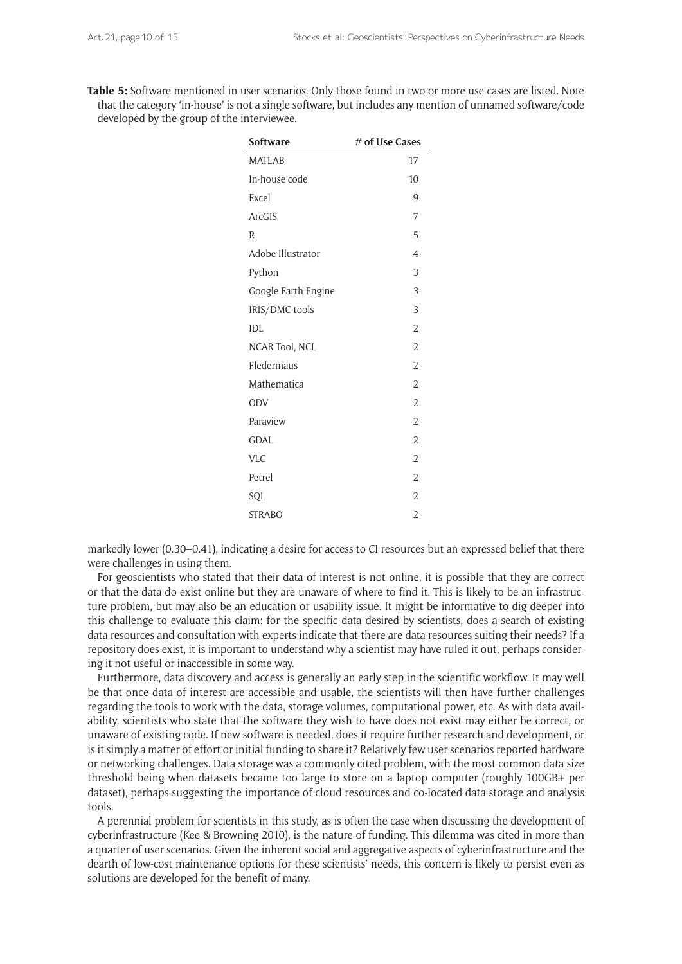**Table 5:** Software mentioned in user scenarios. Only those found in two or more use cases are listed. Note that the category 'in-house' is not a single software, but includes any mention of unnamed software/code developed by the group of the interviewee**.**

| <b>Software</b>     | # of Use Cases |
|---------------------|----------------|
| <b>MATLAB</b>       | 17             |
| In-house code       | 10             |
| Excel               | 9              |
| <b>ArcGIS</b>       | 7              |
| R                   | 5              |
| Adobe Illustrator   | 4              |
| Python              | 3              |
| Google Earth Engine | 3              |
| IRIS/DMC tools      | 3              |
| IDL                 | $\overline{2}$ |
| NCAR Tool, NCL      | $\overline{2}$ |
| Fledermaus          | $\overline{2}$ |
| Mathematica         | $\overline{2}$ |
| ODV                 | $\overline{2}$ |
| Paraview            | $\overline{2}$ |
| <b>GDAL</b>         | $\overline{2}$ |
| <b>VLC</b>          | $\overline{2}$ |
| Petrel              | $\overline{2}$ |
| SQL                 | $\overline{2}$ |
| <b>STRABO</b>       | $\overline{2}$ |

markedly lower (0.30–0.41), indicating a desire for access to CI resources but an expressed belief that there were challenges in using them.

For geoscientists who stated that their data of interest is not online, it is possible that they are correct or that the data do exist online but they are unaware of where to find it. This is likely to be an infrastructure problem, but may also be an education or usability issue. It might be informative to dig deeper into this challenge to evaluate this claim: for the specific data desired by scientists, does a search of existing data resources and consultation with experts indicate that there are data resources suiting their needs? If a repository does exist, it is important to understand why a scientist may have ruled it out, perhaps considering it not useful or inaccessible in some way.

Furthermore, data discovery and access is generally an early step in the scientific workflow. It may well be that once data of interest are accessible and usable, the scientists will then have further challenges regarding the tools to work with the data, storage volumes, computational power, etc. As with data availability, scientists who state that the software they wish to have does not exist may either be correct, or unaware of existing code. If new software is needed, does it require further research and development, or is it simply a matter of effort or initial funding to share it? Relatively few user scenarios reported hardware or networking challenges. Data storage was a commonly cited problem, with the most common data size threshold being when datasets became too large to store on a laptop computer (roughly 100GB+ per dataset), perhaps suggesting the importance of cloud resources and co-located data storage and analysis tools.

A perennial problem for scientists in this study, as is often the case when discussing the development of cyberinfrastructure (Kee & Browning 2010), is the nature of funding. This dilemma was cited in more than a quarter of user scenarios. Given the inherent social and aggregative aspects of cyberinfrastructure and the dearth of low-cost maintenance options for these scientists' needs, this concern is likely to persist even as solutions are developed for the benefit of many.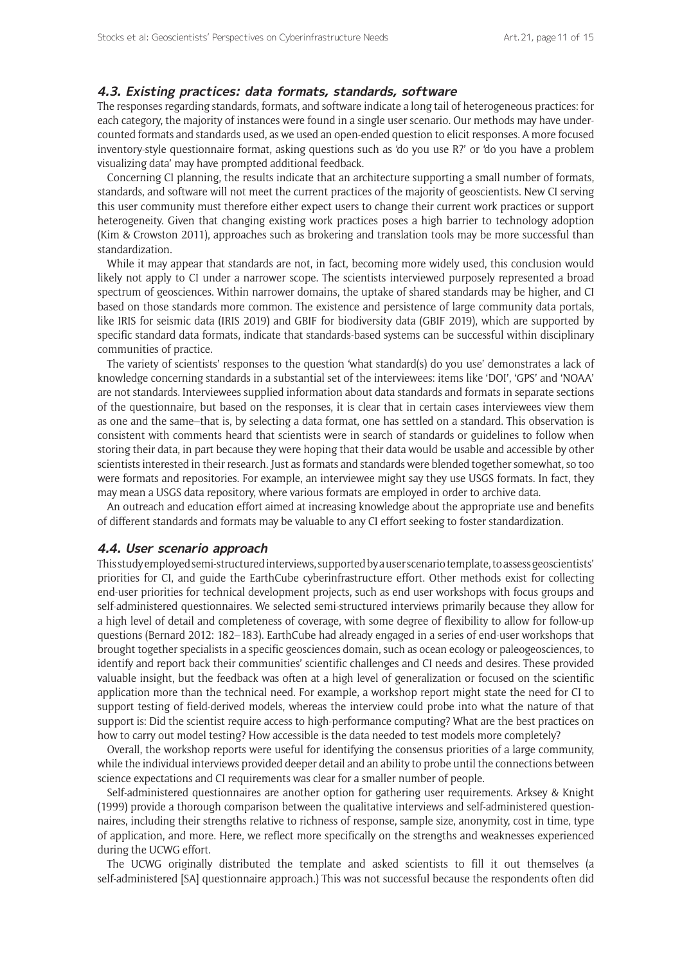#### **4.3. Existing practices: data formats, standards, software**

The responses regarding standards, formats, and software indicate a long tail of heterogeneous practices: for each category, the majority of instances were found in a single user scenario. Our methods may have undercounted formats and standards used, as we used an open-ended question to elicit responses. A more focused inventory-style questionnaire format, asking questions such as 'do you use R?' or 'do you have a problem visualizing data' may have prompted additional feedback.

Concerning CI planning, the results indicate that an architecture supporting a small number of formats, standards, and software will not meet the current practices of the majority of geoscientists. New CI serving this user community must therefore either expect users to change their current work practices or support heterogeneity. Given that changing existing work practices poses a high barrier to technology adoption (Kim & Crowston 2011), approaches such as brokering and translation tools may be more successful than standardization.

While it may appear that standards are not, in fact, becoming more widely used, this conclusion would likely not apply to CI under a narrower scope. The scientists interviewed purposely represented a broad spectrum of geosciences. Within narrower domains, the uptake of shared standards may be higher, and CI based on those standards more common. The existence and persistence of large community data portals, like IRIS for seismic data (IRIS 2019) and GBIF for biodiversity data (GBIF 2019), which are supported by specific standard data formats, indicate that standards-based systems can be successful within disciplinary communities of practice.

The variety of scientists' responses to the question 'what standard(s) do you use' demonstrates a lack of knowledge concerning standards in a substantial set of the interviewees: items like 'DOI', 'GPS' and 'NOAA' are not standards. Interviewees supplied information about data standards and formats in separate sections of the questionnaire, but based on the responses, it is clear that in certain cases interviewees view them as one and the same–that is, by selecting a data format, one has settled on a standard. This observation is consistent with comments heard that scientists were in search of standards or guidelines to follow when storing their data, in part because they were hoping that their data would be usable and accessible by other scientists interested in their research. Just as formats and standards were blended together somewhat, so too were formats and repositories. For example, an interviewee might say they use USGS formats. In fact, they may mean a USGS data repository, where various formats are employed in order to archive data.

An outreach and education effort aimed at increasing knowledge about the appropriate use and benefits of different standards and formats may be valuable to any CI effort seeking to foster standardization.

#### **4.4. User scenario approach**

This study employed semi-structured interviews, supported by a user scenario template, to assess geoscientists' priorities for CI, and guide the EarthCube cyberinfrastructure effort. Other methods exist for collecting end-user priorities for technical development projects, such as end user workshops with focus groups and self-administered questionnaires. We selected semi-structured interviews primarily because they allow for a high level of detail and completeness of coverage, with some degree of flexibility to allow for follow-up questions (Bernard 2012: 182–183). EarthCube had already engaged in a series of end-user workshops that brought together specialists in a specific geosciences domain, such as ocean ecology or paleogeosciences, to identify and report back their communities' scientific challenges and CI needs and desires. These provided valuable insight, but the feedback was often at a high level of generalization or focused on the scientific application more than the technical need. For example, a workshop report might state the need for CI to support testing of field-derived models, whereas the interview could probe into what the nature of that support is: Did the scientist require access to high-performance computing? What are the best practices on how to carry out model testing? How accessible is the data needed to test models more completely?

Overall, the workshop reports were useful for identifying the consensus priorities of a large community, while the individual interviews provided deeper detail and an ability to probe until the connections between science expectations and CI requirements was clear for a smaller number of people.

Self-administered questionnaires are another option for gathering user requirements. Arksey & Knight (1999) provide a thorough comparison between the qualitative interviews and self-administered questionnaires, including their strengths relative to richness of response, sample size, anonymity, cost in time, type of application, and more. Here, we reflect more specifically on the strengths and weaknesses experienced during the UCWG effort.

The UCWG originally distributed the template and asked scientists to fill it out themselves (a self-administered [SA] questionnaire approach.) This was not successful because the respondents often did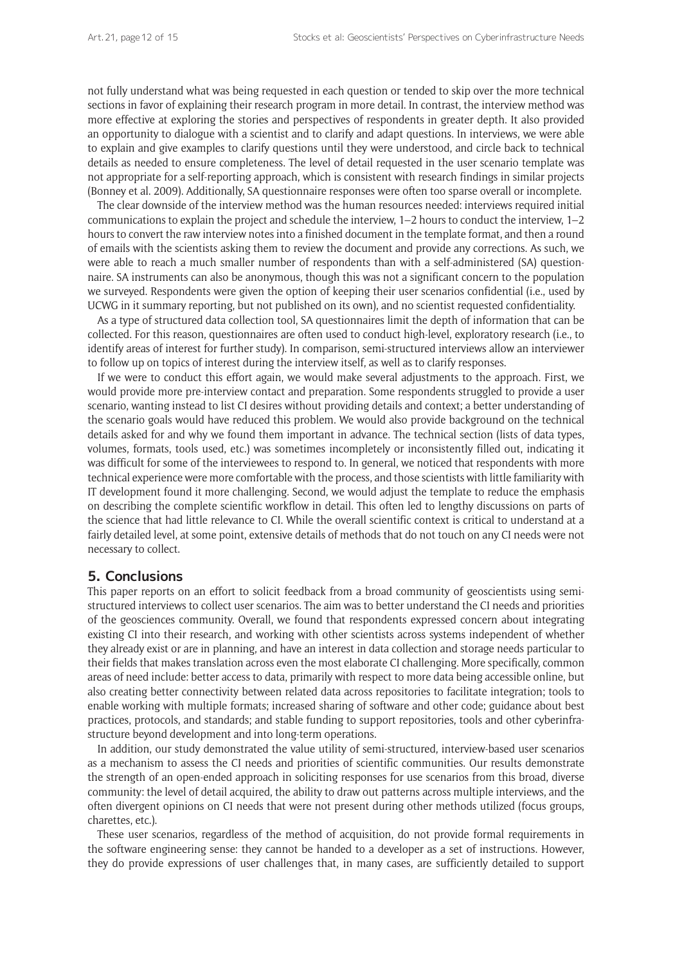not fully understand what was being requested in each question or tended to skip over the more technical sections in favor of explaining their research program in more detail. In contrast, the interview method was more effective at exploring the stories and perspectives of respondents in greater depth. It also provided an opportunity to dialogue with a scientist and to clarify and adapt questions. In interviews, we were able to explain and give examples to clarify questions until they were understood, and circle back to technical details as needed to ensure completeness. The level of detail requested in the user scenario template was not appropriate for a self-reporting approach, which is consistent with research findings in similar projects (Bonney et al. 2009). Additionally, SA questionnaire responses were often too sparse overall or incomplete.

The clear downside of the interview method was the human resources needed: interviews required initial communications to explain the project and schedule the interview, 1–2 hours to conduct the interview, 1–2 hours to convert the raw interview notes into a finished document in the template format, and then a round of emails with the scientists asking them to review the document and provide any corrections. As such, we were able to reach a much smaller number of respondents than with a self-administered (SA) questionnaire. SA instruments can also be anonymous, though this was not a significant concern to the population we surveyed. Respondents were given the option of keeping their user scenarios confidential (i.e., used by UCWG in it summary reporting, but not published on its own), and no scientist requested confidentiality.

As a type of structured data collection tool, SA questionnaires limit the depth of information that can be collected. For this reason, questionnaires are often used to conduct high-level, exploratory research (i.e., to identify areas of interest for further study). In comparison, semi-structured interviews allow an interviewer to follow up on topics of interest during the interview itself, as well as to clarify responses.

If we were to conduct this effort again, we would make several adjustments to the approach. First, we would provide more pre-interview contact and preparation. Some respondents struggled to provide a user scenario, wanting instead to list CI desires without providing details and context; a better understanding of the scenario goals would have reduced this problem. We would also provide background on the technical details asked for and why we found them important in advance. The technical section (lists of data types, volumes, formats, tools used, etc.) was sometimes incompletely or inconsistently filled out, indicating it was difficult for some of the interviewees to respond to. In general, we noticed that respondents with more technical experience were more comfortable with the process, and those scientists with little familiarity with IT development found it more challenging. Second, we would adjust the template to reduce the emphasis on describing the complete scientific workflow in detail. This often led to lengthy discussions on parts of the science that had little relevance to CI. While the overall scientific context is critical to understand at a fairly detailed level, at some point, extensive details of methods that do not touch on any CI needs were not necessary to collect.

## **5. Conclusions**

This paper reports on an effort to solicit feedback from a broad community of geoscientists using semistructured interviews to collect user scenarios. The aim was to better understand the CI needs and priorities of the geosciences community. Overall, we found that respondents expressed concern about integrating existing CI into their research, and working with other scientists across systems independent of whether they already exist or are in planning, and have an interest in data collection and storage needs particular to their fields that makes translation across even the most elaborate CI challenging. More specifically, common areas of need include: better access to data, primarily with respect to more data being accessible online, but also creating better connectivity between related data across repositories to facilitate integration; tools to enable working with multiple formats; increased sharing of software and other code; guidance about best practices, protocols, and standards; and stable funding to support repositories, tools and other cyberinfrastructure beyond development and into long-term operations.

In addition, our study demonstrated the value utility of semi-structured, interview-based user scenarios as a mechanism to assess the CI needs and priorities of scientific communities. Our results demonstrate the strength of an open-ended approach in soliciting responses for use scenarios from this broad, diverse community: the level of detail acquired, the ability to draw out patterns across multiple interviews, and the often divergent opinions on CI needs that were not present during other methods utilized (focus groups, charettes, etc.).

These user scenarios, regardless of the method of acquisition, do not provide formal requirements in the software engineering sense: they cannot be handed to a developer as a set of instructions. However, they do provide expressions of user challenges that, in many cases, are sufficiently detailed to support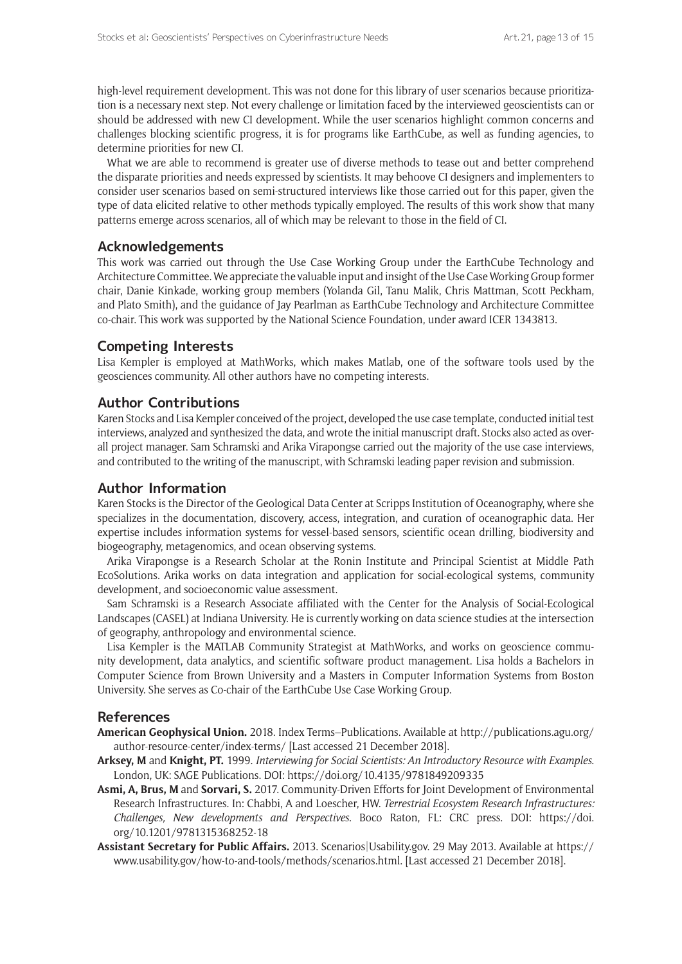high-level requirement development. This was not done for this library of user scenarios because prioritization is a necessary next step. Not every challenge or limitation faced by the interviewed geoscientists can or should be addressed with new CI development. While the user scenarios highlight common concerns and challenges blocking scientific progress, it is for programs like EarthCube, as well as funding agencies, to determine priorities for new CI.

What we are able to recommend is greater use of diverse methods to tease out and better comprehend the disparate priorities and needs expressed by scientists. It may behoove CI designers and implementers to consider user scenarios based on semi-structured interviews like those carried out for this paper, given the type of data elicited relative to other methods typically employed. The results of this work show that many patterns emerge across scenarios, all of which may be relevant to those in the field of CI.

# **Acknowledgements**

This work was carried out through the Use Case Working Group under the EarthCube Technology and Architecture Committee. We appreciate the valuable input and insight of the Use Case Working Group former chair, Danie Kinkade, working group members (Yolanda Gil, Tanu Malik, Chris Mattman, Scott Peckham, and Plato Smith), and the guidance of Jay Pearlman as EarthCube Technology and Architecture Committee co-chair. This work was supported by the National Science Foundation, under award ICER 1343813.

# **Competing Interests**

Lisa Kempler is employed at MathWorks, which makes Matlab, one of the software tools used by the geosciences community. All other authors have no competing interests.

# **Author Contributions**

Karen Stocks and Lisa Kempler conceived of the project, developed the use case template, conducted initial test interviews, analyzed and synthesized the data, and wrote the initial manuscript draft. Stocks also acted as overall project manager. Sam Schramski and Arika Virapongse carried out the majority of the use case interviews, and contributed to the writing of the manuscript, with Schramski leading paper revision and submission.

## **Author Information**

Karen Stocks is the Director of the Geological Data Center at Scripps Institution of Oceanography, where she specializes in the documentation, discovery, access, integration, and curation of oceanographic data. Her expertise includes information systems for vessel-based sensors, scientific ocean drilling, biodiversity and biogeography, metagenomics, and ocean observing systems.

Arika Virapongse is a Research Scholar at the Ronin Institute and Principal Scientist at Middle Path EcoSolutions. Arika works on data integration and application for social-ecological systems, community development, and socioeconomic value assessment.

Sam Schramski is a Research Associate affiliated with the Center for the Analysis of Social-Ecological Landscapes (CASEL) at Indiana University. He is currently working on data science studies at the intersection of geography, anthropology and environmental science.

Lisa Kempler is the MATLAB Community Strategist at MathWorks, and works on geoscience community development, data analytics, and scientific software product management. Lisa holds a Bachelors in Computer Science from Brown University and a Masters in Computer Information Systems from Boston University. She serves as Co-chair of the EarthCube Use Case Working Group.

#### **References**

- **American Geophysical Union.** 2018. Index Terms–Publications. Available at [http://publications.agu.org/](http://publications.agu.org/author-resource-center/index-terms/) [author-resource-center/index-terms/](http://publications.agu.org/author-resource-center/index-terms/) [Last accessed 21 December 2018].
- **Arksey, M** and **Knight, PT.** 1999. *Interviewing for Social Scientists: An Introductory Resource with Examples*. London, UK: SAGE Publications. DOI: <https://doi.org/10.4135/9781849209335>
- **Asmi, A, Brus, M** and **Sorvari, S.** 2017. Community-Driven Efforts for Joint Development of Environmental Research Infrastructures. In: Chabbi, A and Loescher, HW. *Terrestrial Ecosystem Research Infrastructures: Challenges, New developments and Perspectives*. Boco Raton, FL: CRC press. DOI: [https://doi.](https://doi.org/10.1201/9781315368252-18) [org/10.1201/9781315368252-18](https://doi.org/10.1201/9781315368252-18)
- **Assistant Secretary for Public Affairs.** 2013. Scenarios[|Usability.gov.](http://www.usability.gov) 29 May 2013. Available at [https://](https://www.usability.gov/how-to-and-tools/methods/scenarios.html) [www.usability.gov/how-to-and-tools/methods/scenarios.html](https://www.usability.gov/how-to-and-tools/methods/scenarios.html). [Last accessed 21 December 2018].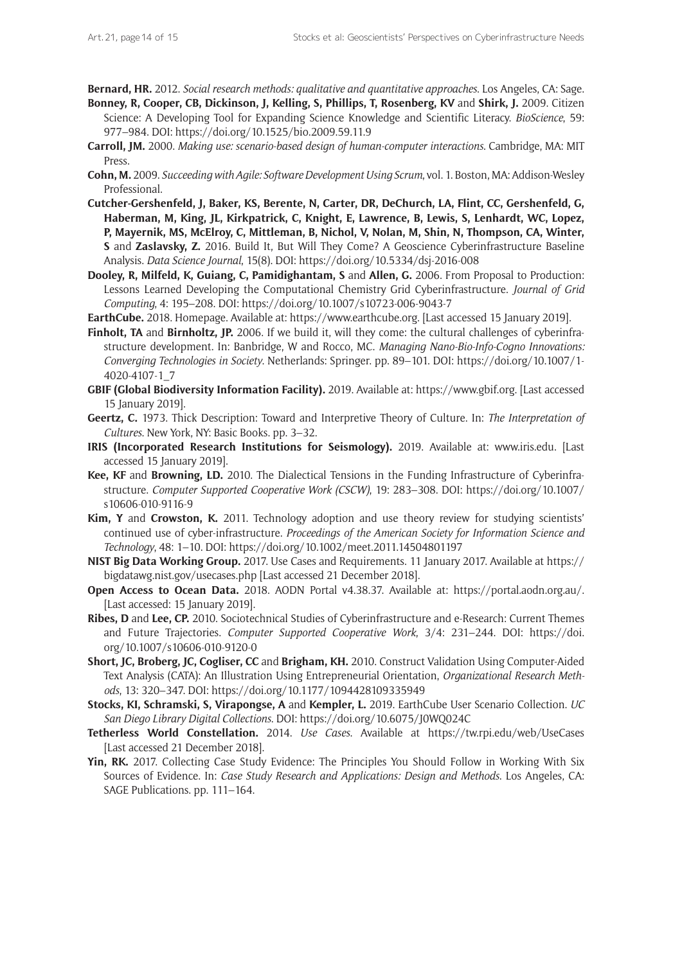**Bernard, HR.** 2012. *Social research methods: qualitative and quantitative approaches*. Los Angeles, CA: Sage.

- **Bonney, R, Cooper, CB, Dickinson, J, Kelling, S, Phillips, T, Rosenberg, KV** and **Shirk, J.** 2009. Citizen Science: A Developing Tool for Expanding Science Knowledge and Scientific Literacy. *BioScience*, 59: 977–984. DOI:<https://doi.org/10.1525/bio.2009.59.11.9>
- **Carroll, JM.** 2000. *Making use: scenario-based design of human-computer interactions*. Cambridge, MA: MIT Press.
- **Cohn, M.** 2009. *Succeeding with Agile: Software Development Using Scrum*, vol. 1. Boston, MA: Addison-Wesley Professional.
- **Cutcher-Gershenfeld, J, Baker, KS, Berente, N, Carter, DR, DeChurch, LA, Flint, CC, Gershenfeld, G, Haberman, M, King, JL, Kirkpatrick, C, Knight, E, Lawrence, B, Lewis, S, Lenhardt, WC, Lopez, P, Mayernik, MS, McElroy, C, Mittleman, B, Nichol, V, Nolan, M, Shin, N, Thompson, CA, Winter, S** and **Zaslavsky, Z.** 2016. Build It, But Will They Come? A Geoscience Cyberinfrastructure Baseline Analysis. *Data Science Journal*, 15(8). DOI:<https://doi.org/10.5334/dsj-2016-008>
- **Dooley, R, Milfeld, K, Guiang, C, Pamidighantam, S** and **Allen, G.** 2006. From Proposal to Production: Lessons Learned Developing the Computational Chemistry Grid Cyberinfrastructure. *Journal of Grid Computing*, 4: 195–208. DOI:<https://doi.org/10.1007/s10723-006-9043-7>
- **EarthCube.** 2018. Homepage. Available at: <https://www.earthcube.org>. [Last accessed 15 January 2019].
- **Finholt, TA** and **Birnholtz, JP.** 2006. If we build it, will they come: the cultural challenges of cyberinfrastructure development. In: Banbridge, W and Rocco, MC. *Managing Nano-Bio-Info-Cogno Innovations: Converging Technologies in Society*. Netherlands: Springer. pp. 89–101. DOI: [https://doi.org/10.1007/1-](https://doi.org/10.1007/1-4020-4107-1_7) [4020-4107-1\\_7](https://doi.org/10.1007/1-4020-4107-1_7)
- **GBIF (Global Biodiversity Information Facility).** 2019. Available at: <https://www.gbif.org>. [Last accessed 15 January 2019].
- **Geertz, C.** 1973. Thick Description: Toward and Interpretive Theory of Culture. In: *The Interpretation of Cultures*. New York, NY: Basic Books. pp. 3–32.
- **IRIS (Incorporated Research Institutions for Seismology).** 2019. Available at: [www.iris.edu.](http://www.iris.edu) [Last accessed 15 January 2019].
- **Kee, KF** and **Browning, LD.** 2010. The Dialectical Tensions in the Funding Infrastructure of Cyberinfrastructure. *Computer Supported Cooperative Work (CSCW)*, 19: 283–308. DOI: [https://doi.org/10.1007/](https://doi.org/10.1007/s10606-010-9116-9) [s10606-010-9116-9](https://doi.org/10.1007/s10606-010-9116-9)
- **Kim, Y** and **Crowston, K.** 2011. Technology adoption and use theory review for studying scientists' continued use of cyber-infrastructure. *Proceedings of the American Society for Information Science and Technology*, 48: 1–10. DOI:<https://doi.org/10.1002/meet.2011.14504801197>
- **NIST Big Data Working Group.** 2017. Use Cases and Requirements. 11 January 2017. Available at [https://](https://bigdatawg.nist.gov/usecases.php) [bigdatawg.nist.gov/usecases.php](https://bigdatawg.nist.gov/usecases.php) [Last accessed 21 December 2018].
- **Open Access to Ocean Data.** 2018. AODN Portal v4.38.37. Available at: <https://portal.aodn.org.au/>. [Last accessed: 15 January 2019].
- **Ribes, D** and **Lee, CP.** 2010. Sociotechnical Studies of Cyberinfrastructure and e-Research: Current Themes and Future Trajectories. *Computer Supported Cooperative Work*, 3/4: 231–244. DOI: [https://doi.](https://doi.org/10.1007/s10606-010-9120-0) [org/10.1007/s10606-010-9120-0](https://doi.org/10.1007/s10606-010-9120-0)
- **Short, JC, Broberg, JC, Cogliser, CC** and **Brigham, KH.** 2010. Construct Validation Using Computer-Aided Text Analysis (CATA): An Illustration Using Entrepreneurial Orientation, *Organizational Research Methods*, 13: 320–347. DOI: <https://doi.org/10.1177/1094428109335949>
- **Stocks, KI, Schramski, S, Virapongse, A** and **Kempler, L.** 2019. EarthCube User Scenario Collection. *UC San Diego Library Digital Collections*. DOI: <https://doi.org/10.6075/J0WQ024C>
- **Tetherless World Constellation.** 2014. *Use Cases*. Available at <https://tw.rpi.edu/web/UseCases> [Last accessed 21 December 2018].
- **Yin, RK.** 2017. Collecting Case Study Evidence: The Principles You Should Follow in Working With Six Sources of Evidence. In: *Case Study Research and Applications: Design and Methods*. Los Angeles, CA: SAGE Publications. pp. 111–164.